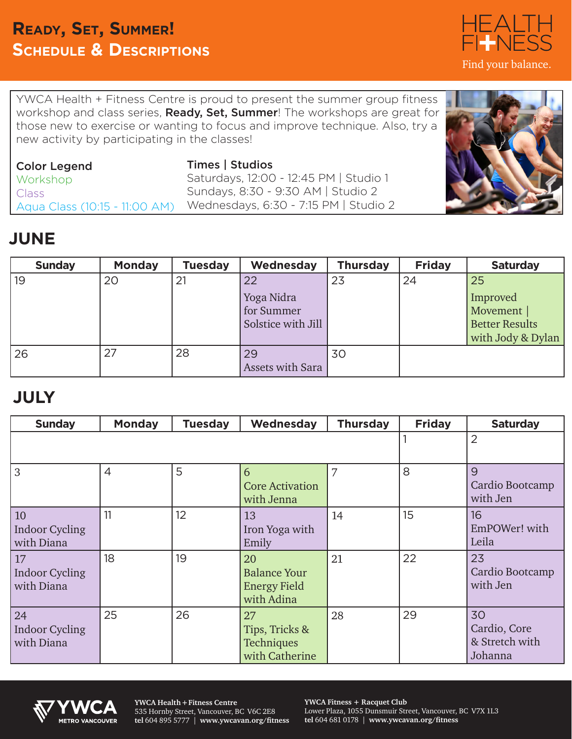### **Ready, Set, Summer! Schedule & Descriptions**

YWCA Health + Fitness Centre is proud to present the summer group fitness workshop and class series, **Ready, Set, Summer**! The workshops are great for those new to exercise or wanting to focus and improve technique. Also, try a new activity by participating in the classes!

| Color Legend                  | <b>Times   Studios</b>                 |
|-------------------------------|----------------------------------------|
| <b>Workshop</b>               | Saturdays, 12:00 - 12:45 PM   Studio 1 |
| Class                         | Sundays, 8:30 - 9:30 AM   Studio 2     |
| Aqua Class (10:15 - 11:00 AM) | Wednesdays, 6:30 - 7:15 PM   Studio 2  |

## **JUNE**

| <b>Sunday</b> | <b>Monday</b> | <b>Tuesday</b> | Wednesday          | <b>Thursday</b> | <b>Friday</b> | <b>Saturday</b>       |
|---------------|---------------|----------------|--------------------|-----------------|---------------|-----------------------|
| 19            | 20            | 21             | 22                 | 23              | 24            | 25                    |
|               |               |                | Yoga Nidra         |                 |               | Improved              |
|               |               |                | for Summer         |                 |               | Movement              |
|               |               |                | Solstice with Jill |                 |               | <b>Better Results</b> |
|               |               |                |                    |                 |               | with Jody & Dylan     |
| 126           | 27            | 28             | 29                 | 30              |               |                       |
|               |               |                | Assets with Sara   |                 |               |                       |

### **JULY**

| <b>Sunday</b>                             | <b>Monday</b>  | <b>Tuesday</b> | Wednesday                                                      | <b>Thursday</b> | <b>Friday</b> | <b>Saturday</b>                                 |
|-------------------------------------------|----------------|----------------|----------------------------------------------------------------|-----------------|---------------|-------------------------------------------------|
|                                           |                |                |                                                                |                 |               | $\overline{2}$                                  |
| 3                                         | $\overline{4}$ | 5              | 6<br><b>Core Activation</b><br>with Jenna                      | 7               | 8             | 9<br>Cardio Bootcamp<br>with Jen                |
| 10<br><b>Indoor Cycling</b><br>with Diana | 11             | 12             | 13<br>Iron Yoga with<br>Emily                                  | 14              | 15            | 16<br>EmPOWer! with<br>Leila                    |
| 17<br><b>Indoor Cycling</b><br>with Diana | 18             | 19             | 20<br><b>Balance Your</b><br><b>Energy Field</b><br>with Adina | 21              | 22            | 23<br>Cardio Bootcamp<br>with Jen               |
| 24<br><b>Indoor Cycling</b><br>with Diana | 25             | 26             | 27<br>Tips, Tricks &<br>Techniques<br>with Catherine           | 28              | 29            | 30<br>Cardio, Core<br>& Stretch with<br>Johanna |



**YWCA Health + Fitness Centre** 535 Hornby Street, Vancouver, BC V6C 2E8 **tel** 604 895 5777 | **www.ywcavan.org/fitness** **YWCA Fitness + Racquet Club** Lower Plaza, 1055 Dunsmuir Street, Vancouver, BC V7X 1L3 **tel** 604 681 0178 | **www.ywcavan.org/fitness**



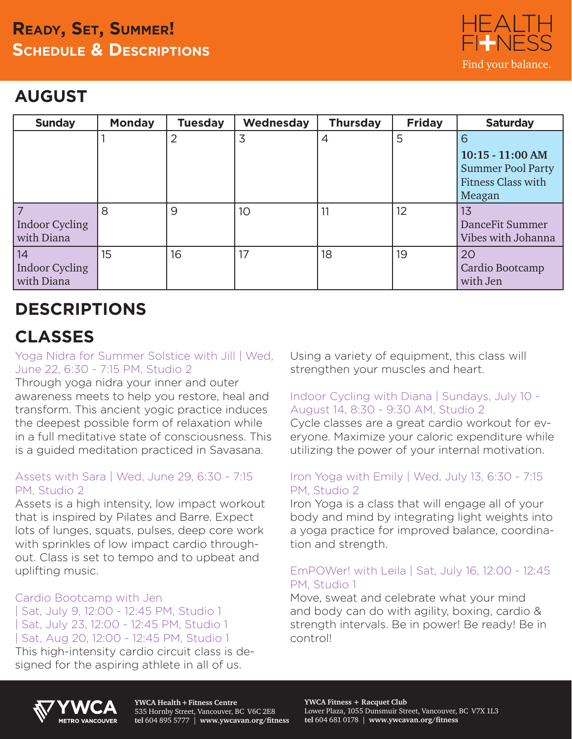## **Ready, Set, Summer! Schedule & Descriptions**



## **AUGUST**

| <b>Sunday</b>                      | <b>Monday</b> | <b>Tuesday</b> | Wednesday       | <b>Thursday</b> | <b>Friday</b> | <b>Saturday</b>                                                                            |
|------------------------------------|---------------|----------------|-----------------|-----------------|---------------|--------------------------------------------------------------------------------------------|
|                                    |               |                | 3               | 4               | 5             | 6<br>$10:15 - 11:00$ AM<br><b>Summer Pool Party</b><br><b>Fitness Class with</b><br>Meagan |
| Indoor Cycling<br>with Diana       | 8             | 9              | 10 <sup>°</sup> | 11              | 12            | 1 <sub>3</sub><br>DanceFit Summer<br>Vibes with Johanna                                    |
| 14<br>Indoor Cycling<br>with Diana | 15            | 16             | 17              | 18              | 19            | 20<br>Cardio Bootcamp<br>with Jen                                                          |

# **DESCRIPTIONS**

# **CLASSES**

#### Yoga Nidra for Summer Solstice with Jill | Wed, June 22, 6:30 - 7:15 PM, Studio 2

Through yoga nidra your inner and outer awareness meets to help you restore, heal and transform. This ancient yogic practice induces the deepest possible form of relaxation while in a full meditative state of consciousness. This is a guided meditation practiced in Savasana.

#### Assets with Sara | Wed, June 29, 6:30 - 7:15 PM, Studio 2

Assets is a high intensity, low impact workout that is inspired by Pilates and Barre. Expect lots of lunges, squats, pulses, deep core work with sprinkles of low impact cardio throughout. Class is set to tempo and to upbeat and uplifting music.

#### Cardio Bootcamp with Jen

| Sat, July 9, 12:00 - 12:45 PM, Studio 1 | Sat, July 23, 12:00 - 12:45 PM, Studio 1 | Sat, Aug 20, 12:00 - 12:45 PM, Studio 1

This high-intensity cardio circuit class is designed for the aspiring athlete in all of us.

Using a variety of equipment, this class will strengthen your muscles and heart.

#### Indoor Cycling with Diana | Sundays, July 10 - August 14, 8:30 - 9:30 AM, Studio 2

Cycle classes are a great cardio workout for everyone. Maximize your caloric expenditure while utilizing the power of your internal motivation.

#### Iron Yoga with Emily | Wed, July 13, 6:30 - 7:15 PM, Studio 2

Iron Yoga is a class that will engage all of your body and mind by integrating light weights into a yoga practice for improved balance, coordination and strength.

#### EmPOWer! with Leila | Sat, July 16, 12:00 - 12:45 PM, Studio 1

Move, sweat and celebrate what your mind and body can do with agility, boxing, cardio & strength intervals. Be in power! Be ready! Be in control!



**YWCA Health + Fitness Centre** 535 Hornby Street, Vancouver, BC V6C 2E8 **tel** 604 895 5777 | **www.ywcavan.org/fitness**

**YWCA Fitness + Racquet Club** Lower Plaza, 1055 Dunsmuir Street, Vancouver, BC V7X 1L3 **tel** 604 681 0178 | **www.ywcavan.org/fitness**